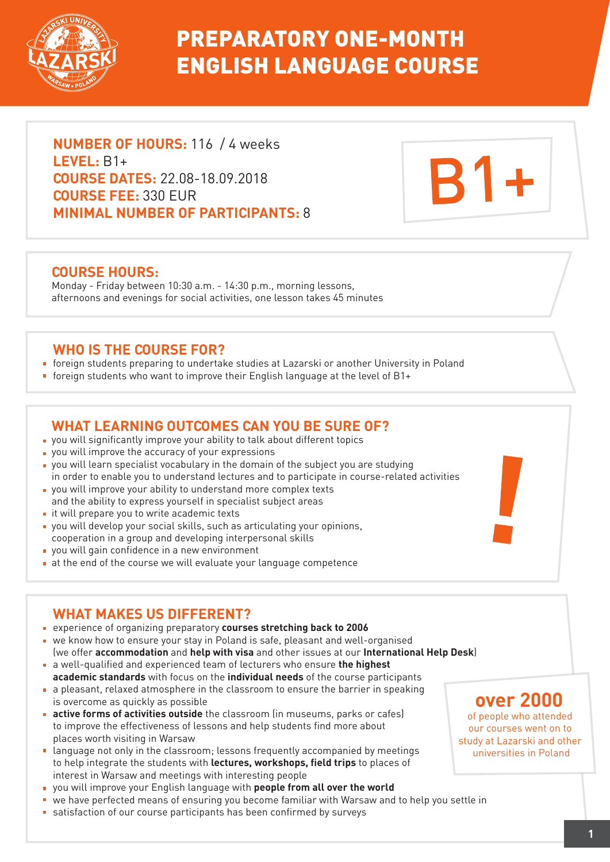

# PREPARATORY ONE-MONTH ENGLISH LANGUAGE COURSE

**NUMBER OF HOURS:** 116 / 4 weeks **LEVEL:** B1+ **COURSE DATES:** 22.08-18.09.2018 **COURSE FEE:** 330 EUR **MINIMAL NUMBER OF PARTICIPANTS:** 8

### **COURSE HOURS:**

Monday - Friday between 10:30 a.m. - 14:30 p.m., morning lessons, afternoons and evenings for social activities, one lesson takes 45 minutes

### **WHO IS THE COURSE FOR?**

- foreign students preparing to undertake studies at Lazarski or another University in Poland
- foreign students who want to improve their English language at the level of B1+

## **WHAT LEARNING OUTCOMES CAN YOU BE SURE OF?**

- you will significantly improve your ability to talk about different topics
- **p** you will improve the accuracy of your expressions
- you will learn specialist vocabulary in the domain of the subject you are studying in order to enable you to understand lectures and to participate in course-related activities
- you will improve your ability to understand more complex texts and the ability to express yourself in specialist subject areas
- $\blacksquare$  it will prepare you to write academic texts
- you will develop your social skills, such as articulating your opinions, cooperation in a group and developing interpersonal skills
- **p** you will gain confidence in a new environment
- at the end of the course we will evaluate your language competence

# **WHAT MAKES US DIFFERENT?**

- experience of organizing preparatory **courses stretching back to 2006**
- we know how to ensure your stay in Poland is safe, pleasant and well-organised
- (we offer **accommodation** and **help with visa** and other issues at our **International Help Desk**) a well-qualified and experienced team of lecturers who ensure **the highest**
- **academic standards** with focus on the **individual needs** of the course participants a pleasant, relaxed atmosphere in the classroom to ensure the barrier in speaking is overcome as quickly as possible
- **active forms of activities outside** the classroom (in museums, parks or cafes) to improve the effectiveness of lessons and help students find more about places worth visiting in Warsaw
- **Example 20** act only in the classroom; lessons frequently accompanied by meetings to help integrate the students with **lectures, workshops, field trips** to places of interest in Warsaw and meetings with interesting people
- you will improve your English language with **people from all over the world**
- we have perfected means of ensuring you become familiar with Warsaw and to help you settle in
- satisfaction of our course participants has been confirmed by surveys

# **over 2000**

**B1+** 

of people who attended our courses went on to study at Lazarski and other universities in Poland